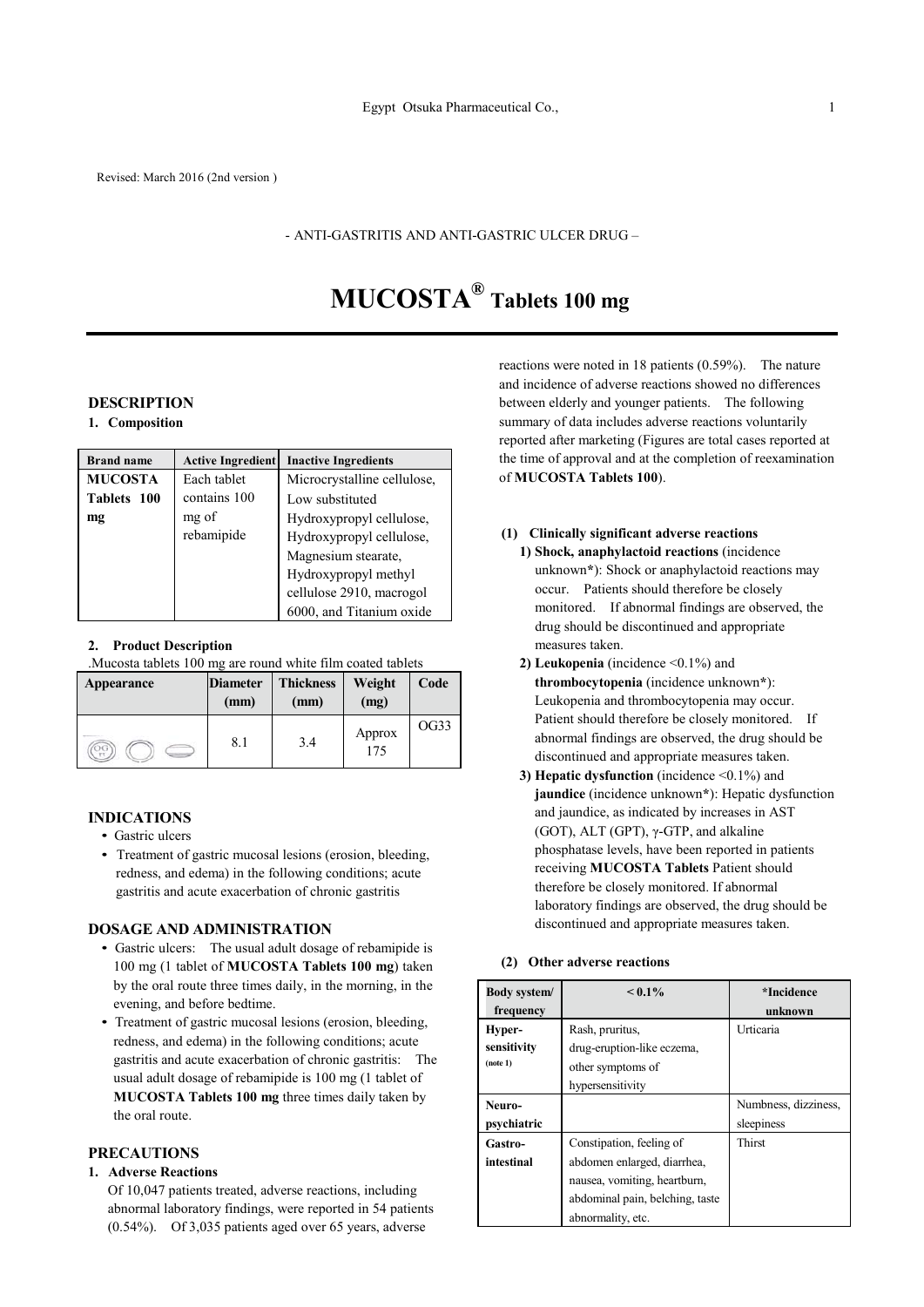#### - ANTI-GASTRITIS AND ANTI-GASTRIC ULCER DRUG –

# **MUCOSTA® Tablets 100 mg**

## **DESCRIPTION**

**1. Composition**

| <b>Brand name</b> | <b>Active Ingredient</b> | <b>Inactive Ingredients</b> |
|-------------------|--------------------------|-----------------------------|
| <b>MUCOSTA</b>    | Each tablet              | Microcrystalline cellulose, |
| Tablets 100       | contains 100             | Low substituted             |
| mg                | mg of                    | Hydroxypropyl cellulose,    |
|                   | rebamipide               | Hydroxypropyl cellulose,    |
|                   |                          | Magnesium stearate,         |
|                   |                          | Hydroxypropyl methyl        |
|                   |                          | cellulose 2910, macrogol    |
|                   |                          | 6000, and Titanium oxide    |

#### **2. Product Description**

.Mucosta tablets 100 mg are round white film coated tablets

| Appearance | <b>Diameter</b><br>(mm) | <b>Thickness</b><br>(mm) | Weight<br>(mg) | Code |
|------------|-------------------------|--------------------------|----------------|------|
|            | 8.1                     | 3.4                      | Approx<br>175  | OG33 |

#### **INDICATIONS**

- Gastric ulcers
- Treatment of gastric mucosal lesions (erosion, bleeding, redness, and edema) in the following conditions; acute gastritis and acute exacerbation of chronic gastritis

#### **DOSAGE AND ADMINISTRATION**

- Gastric ulcers: The usual adult dosage of rebamipide is 100 mg (1 tablet of **MUCOSTA Tablets 100 mg**) taken by the oral route three times daily, in the morning, in the evening, and before bedtime.
- Treatment of gastric mucosal lesions (erosion, bleeding, redness, and edema) in the following conditions; acute gastritis and acute exacerbation of chronic gastritis: The usual adult dosage of rebamipide is 100 mg (1 tablet of **MUCOSTA Tablets 100 mg** three times daily taken by the oral route.

## **PRECAUTIONS**

#### **1. Adverse Reactions**

Of 10,047 patients treated, adverse reactions, including abnormal laboratory findings, were reported in 54 patients (0.54%). Of 3,035 patients aged over 65 years, adverse

reactions were noted in 18 patients (0.59%). The nature and incidence of adverse reactions showed no differences between elderly and younger patients. The following summary of data includes adverse reactions voluntarily reported after marketing (Figures are total cases reported at the time of approval and at the completion of reexamination of **MUCOSTA Tablets 100**).

## **(1) Clinically significant adverse reactions**

- **1) Shock, anaphylactoid reactions** (incidence unknown**\***): Shock or anaphylactoid reactions may occur. Patients should therefore be closely monitored. If abnormal findings are observed, the drug should be discontinued and appropriate measures taken.
- **2) Leukopenia** (incidence <0.1%) and **thrombocytopenia** (incidence unknown**\***): Leukopenia and thrombocytopenia may occur. Patient should therefore be closely monitored. If abnormal findings are observed, the drug should be discontinued and appropriate measures taken.
- **3) Hepatic dysfunction** (incidence <0.1%) and **jaundice** (incidence unknown**\***): Hepatic dysfunction and jaundice, as indicated by increases in AST (GOT), ALT (GPT), γ-GTP, and alkaline phosphatase levels, have been reported in patients receiving **MUCOSTA Tablets** Patient should therefore be closely monitored. If abnormal laboratory findings are observed, the drug should be discontinued and appropriate measures taken.

#### **(2) Other adverse reactions**

| <b>Body system/</b> | $< 0.1\%$                       | *Incidence           |
|---------------------|---------------------------------|----------------------|
| frequency           |                                 | unknown              |
| Hyper-              | Rash, pruritus,                 | Urticaria            |
| sensitivity         | drug-eruption-like eczema,      |                      |
| (note 1)            | other symptoms of               |                      |
|                     | hypersensitivity                |                      |
| Neuro-              |                                 | Numbness, dizziness, |
| psychiatric         |                                 | sleepiness           |
| Gastro-             | Constipation, feeling of        | Thirst               |
| intestinal          | abdomen enlarged, diarrhea,     |                      |
|                     | nausea, vomiting, heartburn,    |                      |
|                     | abdominal pain, belching, taste |                      |
|                     | abnormality, etc.               |                      |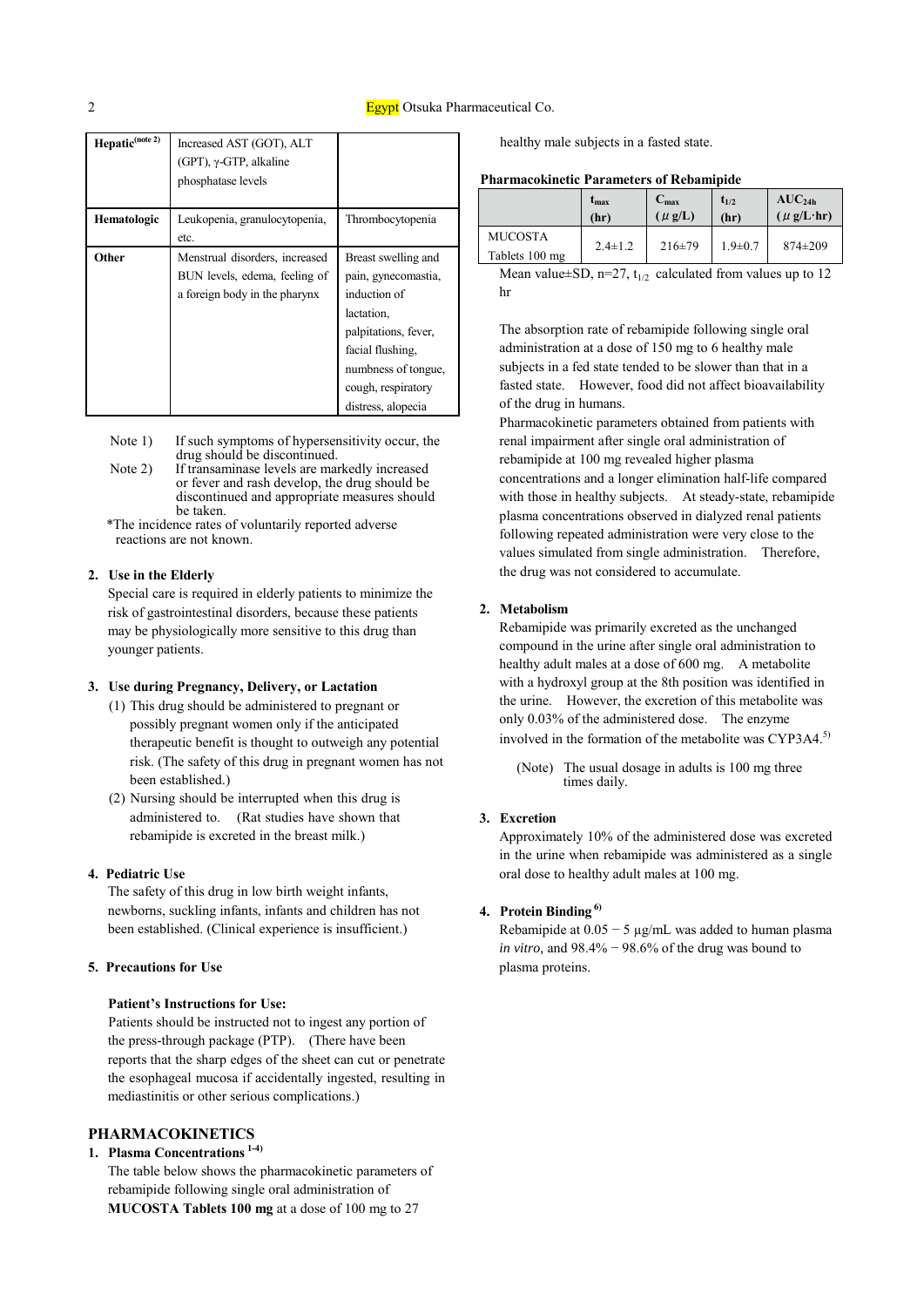| Hepatic <sup>(note 2)</sup> | Increased AST (GOT), ALT<br>(GPT), $\gamma$ -GTP, alkaline<br>phosphatase levels                 |                                                                                                                                                                                         |
|-----------------------------|--------------------------------------------------------------------------------------------------|-----------------------------------------------------------------------------------------------------------------------------------------------------------------------------------------|
| <b>Hematologic</b>          | Leukopenia, granulocytopenia,<br>etc.                                                            | Thrombocytopenia                                                                                                                                                                        |
| Other                       | Menstrual disorders, increased<br>BUN levels, edema, feeling of<br>a foreign body in the pharynx | Breast swelling and<br>pain, gynecomastia,<br>induction of<br>lactation.<br>palpitations, fever,<br>facial flushing,<br>numbness of tongue,<br>cough, respiratory<br>distress, alopecia |

Note 1) If such symptoms of hypersensitivity occur, the drug should be discontinued.

Note 2) If transaminase levels are markedly increased or fever and rash develop, the drug should be discontinued and appropriate measures should be taken.

\*The incidence rates of voluntarily reported adverse reactions are not known.

## **2. Use in the Elderly**

Special care is required in elderly patients to minimize the risk of gastrointestinal disorders, because these patients may be physiologically more sensitive to this drug than younger patients.

## **3. Use during Pregnancy, Delivery, or Lactation**

- (1) This drug should be administered to pregnant or possibly pregnant women only if the anticipated therapeutic benefit is thought to outweigh any potential risk. (The safety of this drug in pregnant women has not been established.)
- (2) Nursing should be interrupted when this drug is administered to. (Rat studies have shown that rebamipide is excreted in the breast milk.)

#### **4. Pediatric Use**

The safety of this drug in low birth weight infants, newborns, suckling infants, infants and children has not been established. (Clinical experience is insufficient.)

#### **5. Precautions for Use**

#### **Patient's Instructions for Use:**

Patients should be instructed not to ingest any portion of the press-through package (PTP). (There have been reports that the sharp edges of the sheet can cut or penetrate the esophageal mucosa if accidentally ingested, resulting in mediastinitis or other serious complications.)

## **PHARMACOKINETICS**

**1. Plasma Concentrations 1-4)**

The table below shows the pharmacokinetic parameters of rebamipide following single oral administration of **MUCOSTA Tablets 100 mg** at a dose of 100 mg to 27

healthy male subjects in a fasted state.

#### **Pharmacokinetic Parameters of Rebamipide**

|                                  | $t_{\rm max}$ | $C_{\text{max}}$ | $t_{1/2}$     | AUC <sub>24h</sub>   |
|----------------------------------|---------------|------------------|---------------|----------------------|
|                                  | (hr)          | $(\mu$ g/L)      | (hr)          | $(\mu g/L \cdot hr)$ |
| <b>MUCOSTA</b><br>Tablets 100 mg | $2.4 \pm 1.2$ | $216 \pm 79$     | $1.9 \pm 0.7$ | $874 \pm 209$        |

Mean value $\pm$ SD, n=27, t<sub>1/2</sub> calculated from values up to 12 hr

The absorption rate of rebamipide following single oral administration at a dose of 150 mg to 6 healthy male subjects in a fed state tended to be slower than that in a fasted state. However, food did not affect bioavailability of the drug in humans.

Pharmacokinetic parameters obtained from patients with renal impairment after single oral administration of rebamipide at 100 mg revealed higher plasma concentrations and a longer elimination half-life compared with those in healthy subjects. At steady-state, rebamipide plasma concentrations observed in dialyzed renal patients following repeated administration were very close to the values simulated from single administration. Therefore, the drug was not considered to accumulate.

#### **2. Metabolism**

Rebamipide was primarily excreted as the unchanged compound in the urine after single oral administration to healthy adult males at a dose of 600 mg. A metabolite with a hydroxyl group at the 8th position was identified in the urine. However, the excretion of this metabolite was only 0.03% of the administered dose. The enzyme involved in the formation of the metabolite was CYP3A4.<sup>5)</sup>

(Note) The usual dosage in adults is 100 mg three times daily.

#### **3. Excretion**

Approximately 10% of the administered dose was excreted in the urine when rebamipide was administered as a single oral dose to healthy adult males at 100 mg.

#### **4. Protein Binding 6)**

Rebamipide at  $0.05 - 5 \mu g/mL$  was added to human plasma *in vitro,* and 98.4% − 98.6% of the drug was bound to plasma proteins.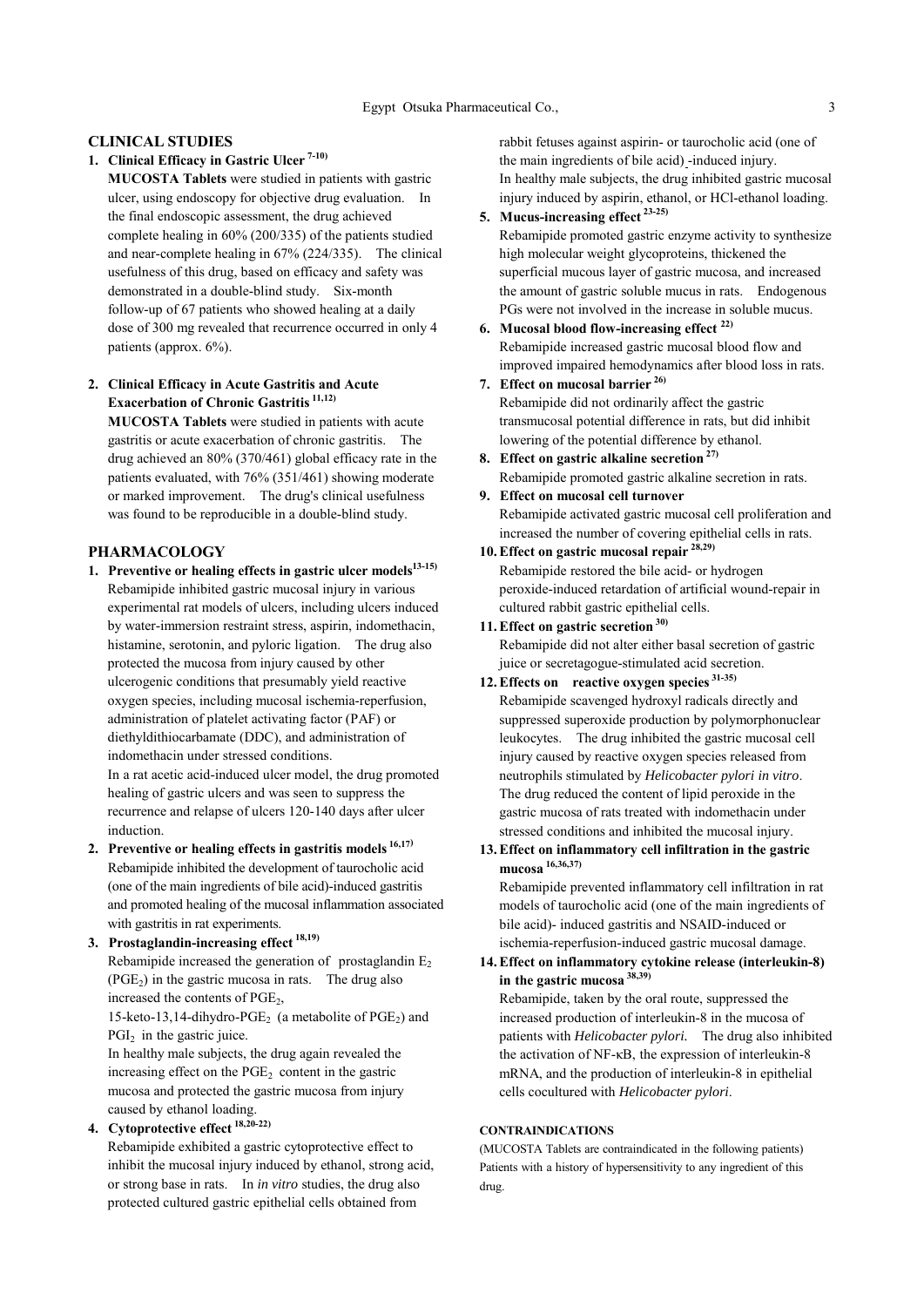#### **CLINICAL STUDIES**

**1. Clinical Efficacy in Gastric Ulcer 7-10)**

**MUCOSTA Tablets** were studied in patients with gastric ulcer, using endoscopy for objective drug evaluation. In the final endoscopic assessment, the drug achieved complete healing in 60% (200/335) of the patients studied and near-complete healing in 67% (224/335). The clinical usefulness of this drug, based on efficacy and safety was demonstrated in a double-blind study. Six-month follow-up of 67 patients who showed healing at a daily dose of 300 mg revealed that recurrence occurred in only 4 patients (approx. 6%).

## **2. Clinical Efficacy in Acute Gastritis and Acute Exacerbation of Chronic Gastritis 11,12)**

**MUCOSTA Tablets** were studied in patients with acute gastritis or acute exacerbation of chronic gastritis. The drug achieved an 80% (370/461) global efficacy rate in the patients evaluated, with 76% (351/461) showing moderate or marked improvement. The drug's clinical usefulness was found to be reproducible in a double-blind study.

## **PHARMACOLOGY**

- 1. Preventive or healing effects in gastric ulcer models<sup>13-15)</sup> Rebamipide inhibited gastric mucosal injury in various experimental rat models of ulcers, including ulcers induced by water-immersion restraint stress, aspirin, indomethacin, histamine, serotonin, and pyloric ligation. The drug also protected the mucosa from injury caused by other ulcerogenic conditions that presumably yield reactive oxygen species, including mucosal ischemia-reperfusion, administration of platelet activating factor (PAF) or diethyldithiocarbamate (DDC), and administration of indomethacin under stressed conditions. In a rat acetic acid-induced ulcer model, the drug promoted healing of gastric ulcers and was seen to suppress the recurrence and relapse of ulcers 120-140 days after ulcer induction.
- **2. Preventive or healing effects in gastritis models 16,17)** Rebamipide inhibited the development of taurocholic acid (one of the main ingredients of bile acid)-induced gastritis and promoted healing of the mucosal inflammation associated with gastritis in rat experiments.
- **3. Prostaglandin-increasing effect 18,19)** Rebamipide increased the generation of prostaglandin  $E<sub>2</sub>$  $(PGE<sub>2</sub>)$  in the gastric mucosa in rats. The drug also increased the contents of  $PGE<sub>2</sub>$ ,

15-keto-13,14-dihydro-PGE<sub>2</sub> (a metabolite of  $\mathrm{PGE}_2$ ) and  $PGI<sub>2</sub>$  in the gastric juice.

In healthy male subjects, the drug again revealed the increasing effect on the  $PGE<sub>2</sub>$  content in the gastric mucosa and protected the gastric mucosa from injury caused by ethanol loading.

**4. Cytoprotective effect 18,20-22)**

Rebamipide exhibited a gastric cytoprotective effect to inhibit the mucosal injury induced by ethanol, strong acid, or strong base in rats. In *in vitro* studies, the drug also protected cultured gastric epithelial cells obtained from

rabbit fetuses against aspirin- or taurocholic acid (one of the main ingredients of bile acid) -induced injury. In healthy male subjects, the drug inhibited gastric mucosal injury induced by aspirin, ethanol, or HCl-ethanol loading.

## **5. Mucus-increasing effect 23-25)**

Rebamipide promoted gastric enzyme activity to synthesize high molecular weight glycoproteins, thickened the superficial mucous layer of gastric mucosa, and increased the amount of gastric soluble mucus in rats. Endogenous PGs were not involved in the increase in soluble mucus.

- **6. Mucosal blood flow-increasing effect 22)** Rebamipide increased gastric mucosal blood flow and improved impaired hemodynamics after blood loss in rats.
- **7. Effect on mucosal barrier 26)** Rebamipide did not ordinarily affect the gastric transmucosal potential difference in rats, but did inhibit lowering of the potential difference by ethanol.
- **8. Effect on gastric alkaline secretion 27)** Rebamipide promoted gastric alkaline secretion in rats.
- **9. Effect on mucosal cell turnover** Rebamipide activated gastric mucosal cell proliferation and increased the number of covering epithelial cells in rats.
- **10. Effect on gastric mucosal repair 28,29)** Rebamipide restored the bile acid- or hydrogen peroxide-induced retardation of artificial wound-repair in cultured rabbit gastric epithelial cells.
- **11. Effect on gastric secretion 30)** Rebamipide did not alter either basal secretion of gastric juice or secretagogue-stimulated acid secretion.

**12. Effects on reactive oxygen species 31-35)**

Rebamipide scavenged hydroxyl radicals directly and suppressed superoxide production by polymorphonuclear leukocytes. The drug inhibited the gastric mucosal cell injury caused by reactive oxygen species released from neutrophils stimulated by *Helicobacter pylori in vitro*. The drug reduced the content of lipid peroxide in the gastric mucosa of rats treated with indomethacin under stressed conditions and inhibited the mucosal injury.

**13. Effect on inflammatory cell infiltration in the gastric mucosa 16,36,37)**

Rebamipide prevented inflammatory cell infiltration in rat models of taurocholic acid (one of the main ingredients of bile acid)- induced gastritis and NSAID-induced or ischemia-reperfusion-induced gastric mucosal damage.

**14. Effect on inflammatory cytokine release (interleukin-8) in the gastric mucosa 38,39)**

Rebamipide, taken by the oral route, suppressed the increased production of interleukin-8 in the mucosa of patients with *Helicobacter pylori.* The drug also inhibited the activation of NF-κB, the expression of interleukin-8 mRNA, and the production of interleukin-8 in epithelial cells cocultured with *Helicobacter pylori*.

## **CONTRAINDICATIONS**

(MUCOSTA Tablets are contraindicated in the following patients) Patients with a history of hypersensitivity to any ingredient of this drug.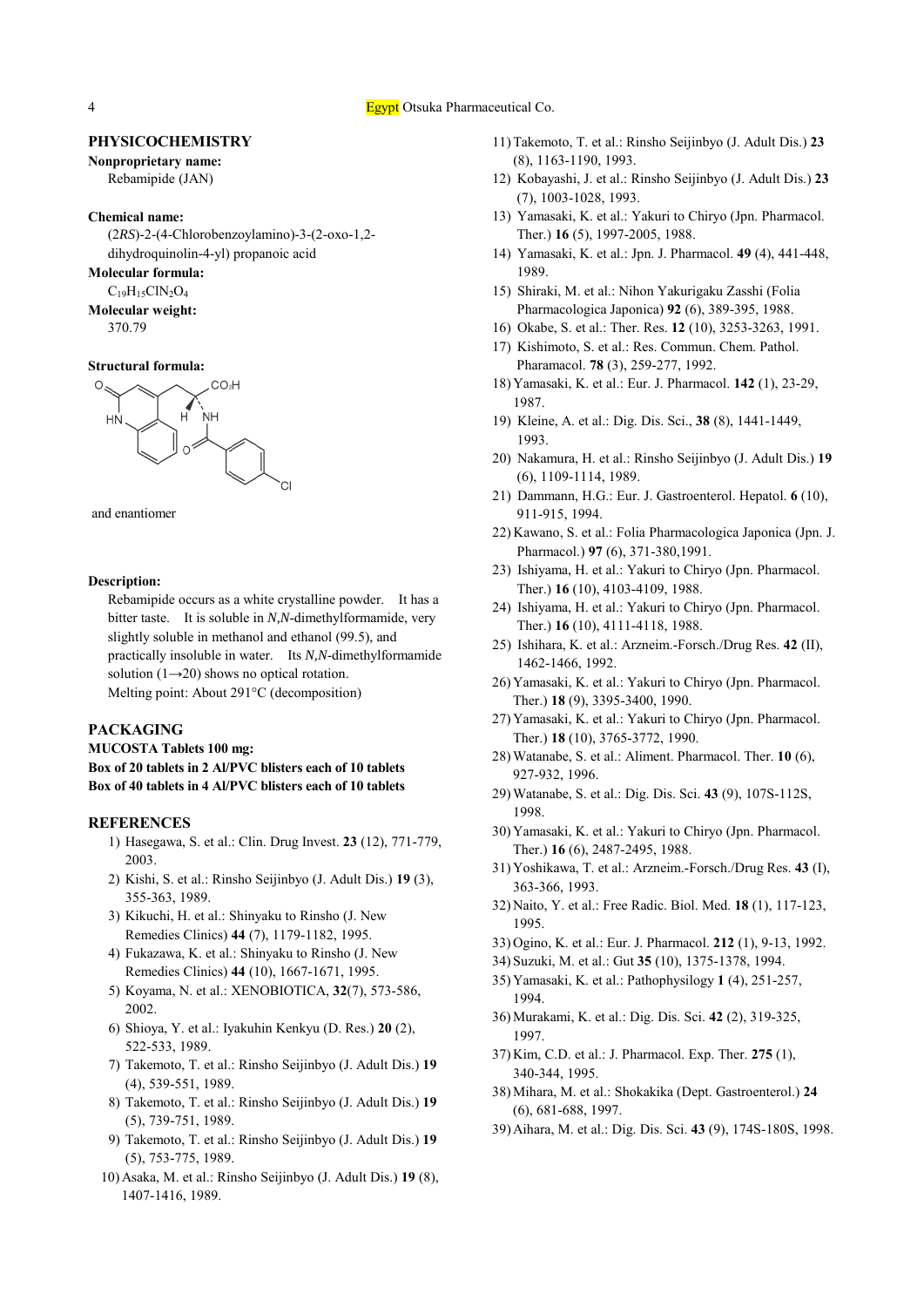4 **Egypt** Otsuka Pharmaceutical Co.

#### **PHYSICOCHEMISTRY**

**Nonproprietary name:** Rebamipide (JAN)

#### **Chemical name:**

(2*RS*)-2-(4-Chlorobenzoylamino)-3-(2-oxo-1,2 dihydroquinolin-4-yl) propanoic acid

#### **Molecular formula:**

 $C_{19}H_{15}CIN_2O_4$ 

**Molecular weight:**

370.79

#### **Structural formula:**





#### **Description:**

Rebamipide occurs as a white crystalline powder. It has a bitter taste. It is soluble in *N,N*-dimethylformamide, very slightly soluble in methanol and ethanol (99.5), and practically insoluble in water. Its *N,N*-dimethylformamide solution  $(1\rightarrow 20)$  shows no optical rotation. Melting point: About 291°C (decomposition)

#### **PACKAGING**

**MUCOSTA Tablets 100 mg: Box of 20 tablets in 2 Al/PVC blisters each of 10 tablets Box of 40 tablets in 4 Al/PVC blisters each of 10 tablets**

## **REFERENCES**

- 1) Hasegawa, S. et al.: Clin. Drug Invest. **23** (12), 771-779, 2003.
- 2) Kishi, S. et al.: Rinsho Seijinbyo (J. Adult Dis.) **19** (3), 355-363, 1989.
- 3) Kikuchi, H. et al.: Shinyaku to Rinsho (J. New Remedies Clinics) **44** (7), 1179-1182, 1995.
- 4) Fukazawa, K. et al.: Shinyaku to Rinsho (J. New Remedies Clinics) **44** (10), 1667-1671, 1995.
- 5) Koyama, N. et al.: XENOBIOTICA, **32**(7), 573-586, 2002.
- 6) Shioya, Y. et al.: Iyakuhin Kenkyu (D. Res.) **20** (2), 522-533, 1989.
- 7) Takemoto, T. et al.: Rinsho Seijinbyo (J. Adult Dis.) **19** (4), 539-551, 1989.
- 8) Takemoto, T. et al.: Rinsho Seijinbyo (J. Adult Dis.) **19** (5), 739-751, 1989.
- 9) Takemoto, T. et al.: Rinsho Seijinbyo (J. Adult Dis.) **19** (5), 753-775, 1989.
- 10) Asaka, M. et al.: Rinsho Seijinbyo (J. Adult Dis.) **19** (8), 1407-1416, 1989.
- 11) Takemoto, T. et al.: Rinsho Seijinbyo (J. Adult Dis.) **23** (8), 1163-1190, 1993.
- 12) Kobayashi, J. et al.: Rinsho Seijinbyo (J. Adult Dis.) **23** (7), 1003-1028, 1993.
- 13) Yamasaki, K. et al.: Yakuri to Chiryo (Jpn. Pharmacol. Ther.) **16** (5), 1997-2005, 1988.
- 14) Yamasaki, K. et al.: Jpn. J. Pharmacol. **49** (4), 441-448, 1989.
- 15) Shiraki, M. et al.: Nihon Yakurigaku Zasshi (Folia Pharmacologica Japonica) **92** (6), 389-395, 1988.
- 16) Okabe, S. et al.: Ther. Res. **12** (10), 3253-3263, 1991.
- 17) Kishimoto, S. et al.: Res. Commun. Chem. Pathol. Pharamacol. **78** (3), 259-277, 1992.
- 18) Yamasaki, K. et al.: Eur. J. Pharmacol. **142** (1), 23-29, 1987.
- 19) Kleine, A. et al.: Dig. Dis. Sci., **38** (8), 1441-1449, 1993.
- 20) Nakamura, H. et al.: Rinsho Seijinbyo (J. Adult Dis.) **19** (6), 1109-1114, 1989.
- 21) Dammann, H.G.: Eur. J. Gastroenterol. Hepatol. **6** (10), 911-915, 1994.
- 22) Kawano, S. et al.: Folia Pharmacologica Japonica (Jpn. J. Pharmacol.) **97** (6), 371-380,1991.
- 23) Ishiyama, H. et al.: Yakuri to Chiryo (Jpn. Pharmacol. Ther.) **16** (10), 4103-4109, 1988.
- 24) Ishiyama, H. et al.: Yakuri to Chiryo (Jpn. Pharmacol. Ther.) **16** (10), 4111-4118, 1988.
- 25) Ishihara, K. et al.: Arzneim.-Forsch./Drug Res. **42** (II), 1462-1466, 1992.
- 26) Yamasaki, K. et al.: Yakuri to Chiryo (Jpn. Pharmacol. Ther.) **18** (9), 3395-3400, 1990.
- 27) Yamasaki, K. et al.: Yakuri to Chiryo (Jpn. Pharmacol. Ther.) **18** (10), 3765-3772, 1990.
- 28) Watanabe, S. et al.: Aliment. Pharmacol. Ther. **10** (6), 927-932, 1996.
- 29) Watanabe, S. et al.: Dig. Dis. Sci. **43** (9), 107S-112S, 1998.
- 30) Yamasaki, K. et al.: Yakuri to Chiryo (Jpn. Pharmacol. Ther.) **16** (6), 2487-2495, 1988.
- 31) Yoshikawa, T. et al.: Arzneim.-Forsch./Drug Res. **43** (I), 363-366, 1993.
- 32) Naito, Y. et al.: Free Radic. Biol. Med. **18** (1), 117-123, 1995.
- 33) Ogino, K. et al.: Eur. J. Pharmacol. **212** (1), 9-13, 1992.
- 34) Suzuki, M. et al.: Gut **35** (10), 1375-1378, 1994.
- 35) Yamasaki, K. et al.: Pathophysilogy **1** (4), 251-257, 1994.
- 36) Murakami, K. et al.: Dig. Dis. Sci. **42** (2), 319-325, 1997.
- 37) Kim, C.D. et al.: J. Pharmacol. Exp. Ther. **275** (1), 340-344, 1995.
- 38) Mihara, M. et al.: Shokakika (Dept. Gastroenterol.) **24** (6), 681-688, 1997.
- 39) Aihara, M. et al.: Dig. Dis. Sci. **43** (9), 174S-180S, 1998.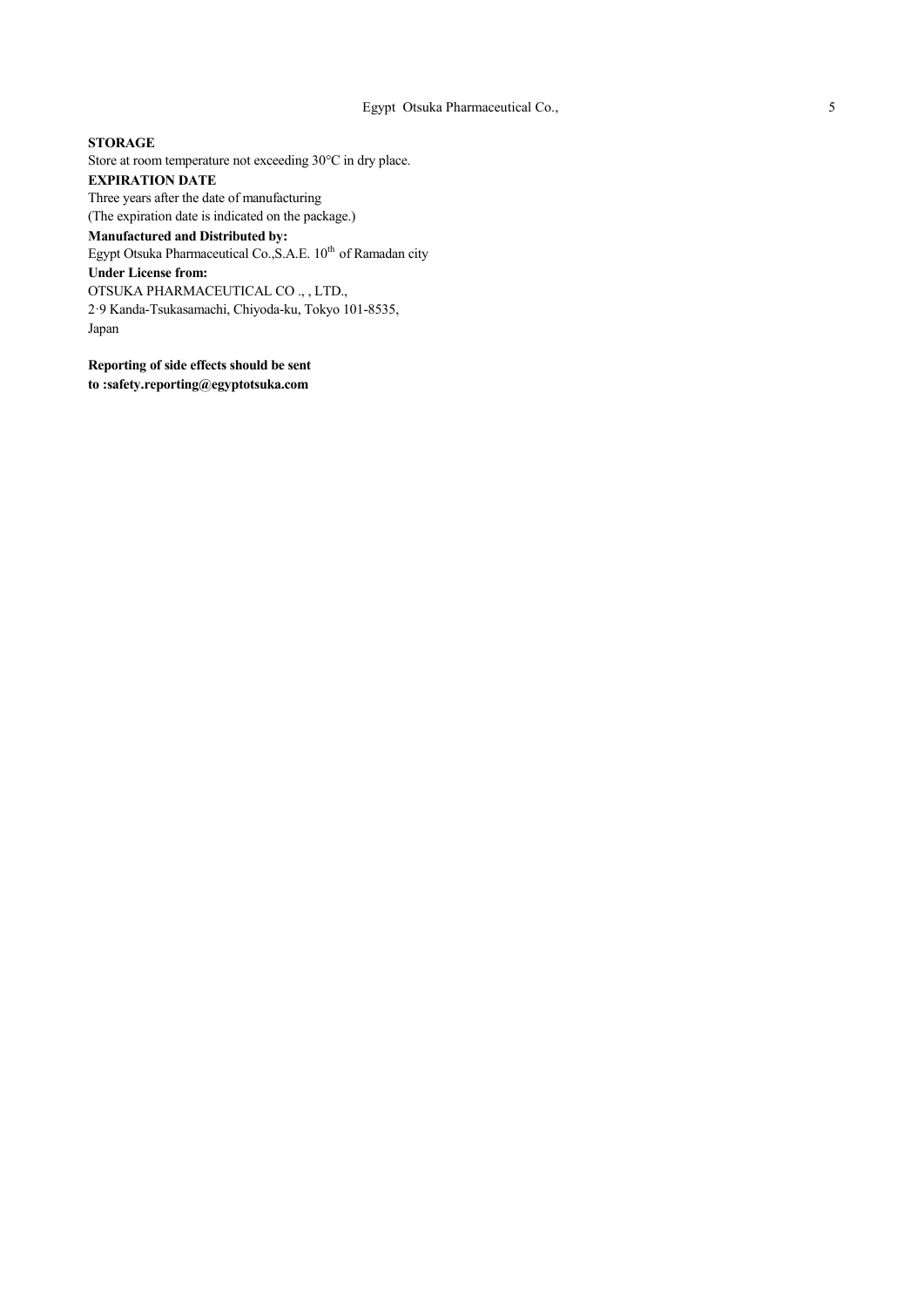**STORAGE** Store at room temperature not exceeding 30°C in dry place. **EXPIRATION DATE** Three years after the date of manufacturing (The expiration date is indicated on the package.) **Manufactured and Distributed by:** Egypt Otsuka Pharmaceutical Co., S.A.E. 10<sup>th</sup> of Ramadan city **Under License from:** OTSUKA PHARMACEUTICAL CO ., , LTD., 2ꞏ9 Kanda-Tsukasamachi, Chiyoda-ku, Tokyo 101-8535, Japan

**Reporting of side effects should be sent to :safety.reporting@egyptotsuka.com**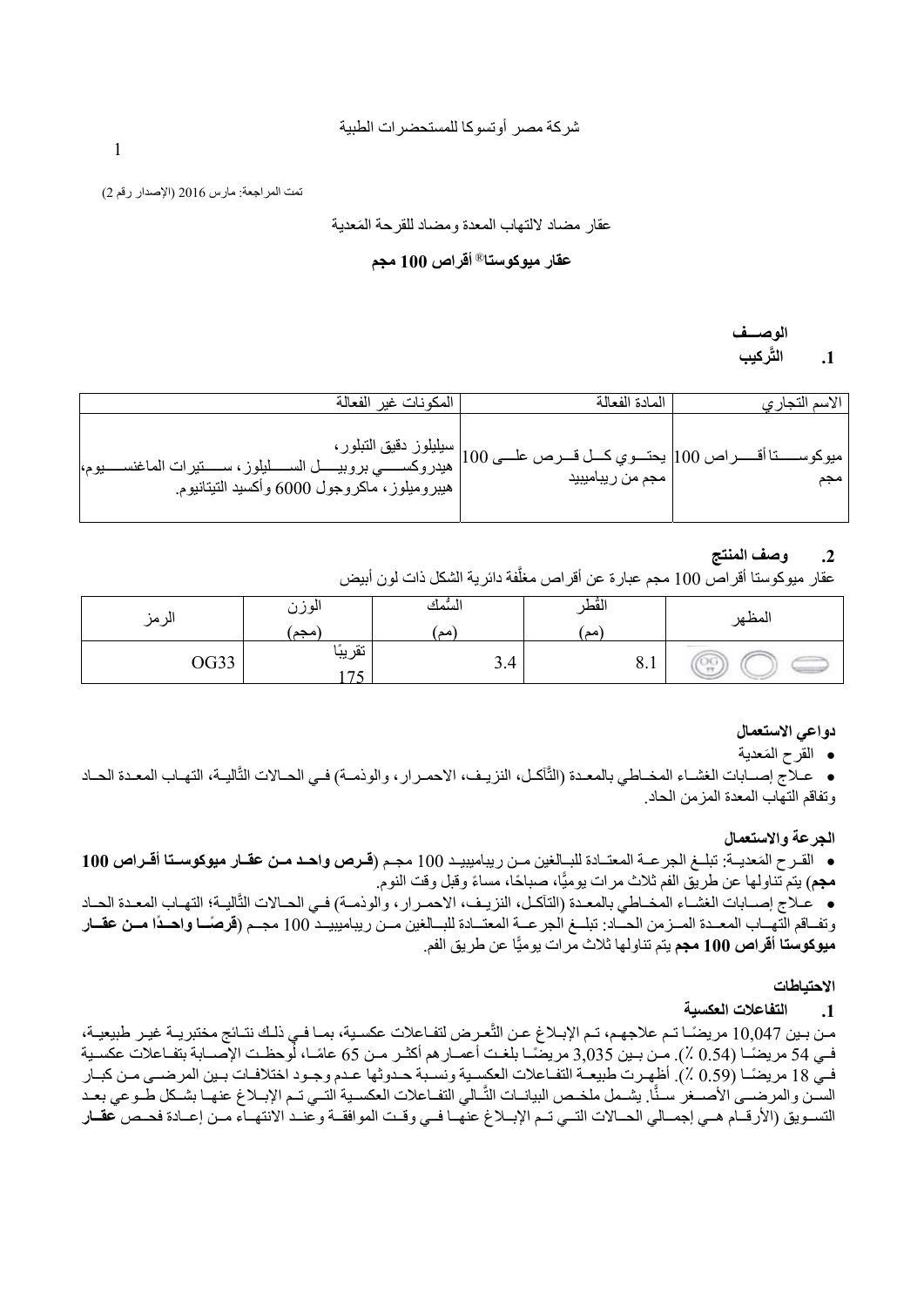تمت المراجعة: مارس 2016 (الإصدار رقم 2)

َ عقار مضاد لالتهاب المعدة ومضاد للقرحة المعدية

## **أقراص 100 مجم** <sup>R</sup>**عقار ميوكوستا**

**الوصـــف َّركيب .1 الت**

| المكونات غير الفعالة | المادة الفعالة | الاسم التجاري |
|----------------------|----------------|---------------|
|                      |                | میو کو ســ    |

## **.2 وصف المنتج**

عقار ميوكوستا أقراص 100 مجم عبارة عن أقراص مغلَّفة دائرية الشكل ذات لون أبيض

| الزمز | . .<br>الوزن<br> مجم | السمك<br>أنصدا | القط<br>ا مد | л.<br>المظهر |
|-------|----------------------|----------------|--------------|--------------|
| OG33  | تقريبًا<br>$\pi$     | 3.4            | 0.1          | ್ಲಿ          |

## **دواعي الاستعمال**

َ القرح المعدية

ه عـلاج إصــابات الغشـاء المخــاطي بالمعـدة (الثَّاكـل، النزيـف، الاحمـرار، والوذمـة) فـي الحــالات الثَّاليـة، التهـاب المعـدة الحــاد وتفاقم التهاب المعدة المزمن الحاد.

## **الجرعة والاستعمال**

ه القرح المَعديـة: تبلـغ الجرعـة المعتـادة للبـالغين مـن ريباميبيـد 100 مجـم (**قـرص واحـد مـن عقـار ميوكوسـتا أقـراص 100 مجم**) يتم تناولها عن طريق الفم ثلاث مرات يوميًا، صباحًا، مساءً وقبل وقت النوم.

ه عـلاج إصـابات الغشـاء المخـاطي بالمعـدة (التآكـل، النزيـف، الاحمـرار، والوذمـة) فـي الحـالات التّأليـة؛ التهـاب المعـدة الحـاد وتفاقم التهـاب المعـدة المــزمن الحــاد: تبلــغ الجرعــة المعتــادة للبــالغين مــن ريباميبيــد 100 مجـم (**قرصَــا واحـدَا مــن عقــار م<b>يوكوستا أقراص 100 مجم** يتم تناولها ثلاث مرات يوميًّا عن طريق الفم.

## **الاحتياطات**

## **.1 التفاعلات العكسية**

من بـين 10,047 مريضًـا تـم علاجهـم، تـم الإبـلاغ عـن التَّعـرض لتفـاعلات عكسـية، بمـا فـي ذلـك نتـائج مختبريـة غيـر طبيعيـة، فـي 54 مريضًـا (0.54 ٪). مـن بـين 3,035 مريضًـا بلغـت أعمـار هم أكثـر مـن 65 عامًـا، لُوحظـت الإصــابة بتفـاعلات عكسـية فمي 18 مريضًـا (0.59 ٪). أظهـرت طبيعـة التفـاعلات العكسـية ونسـبة حـدوثها عـدم وجـود اختلافـات بـين المرضـي مـن كبـار السـن والمرضــي الأصــغر سـنًا. يشـمل ملخـص البيانــات النَّــالي التفـاعلات العكسـية التــي تـم الإبــلاغ عنهـا بشـكل طــوعي بعـد التسويق (الأرقـام هـي إجمـالي الحـالات التـي تـم الإبـلاغ عنهـا فـي وقـت الموافقـة وعنـد الانتهـاء مـن إعـادة فحـص **عقـار** 

1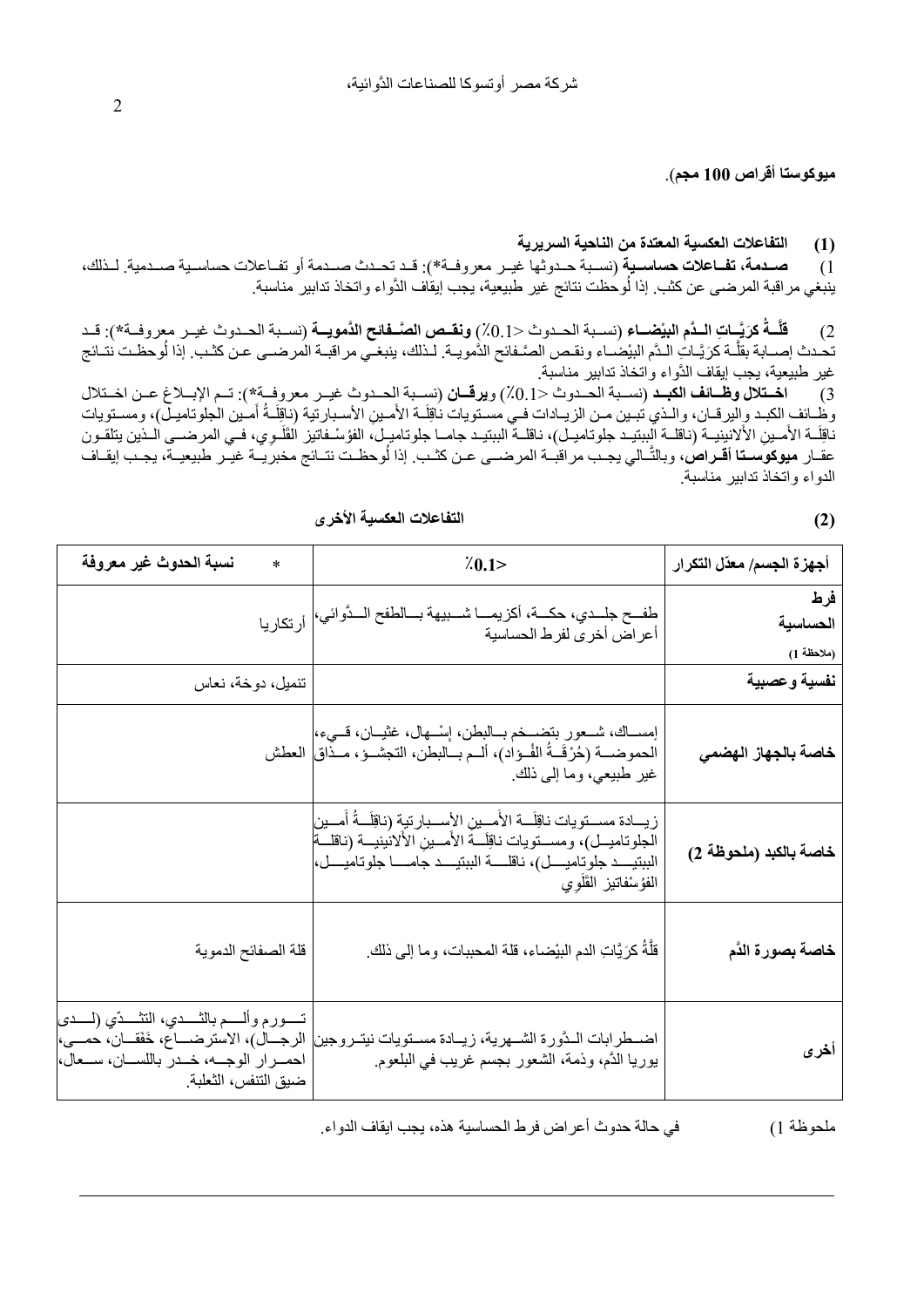**ميوكوستا أقراص 100 مجم**).

# **(1) التفاعلات العكسية المعتدة من الناحية السريرية**

1) **صѧѧѧدمة، تفѧѧѧاعلات حساسѧѧѧية** (نسѧѧѧبة حѧѧѧدوثها غيѧѧѧر معروفѧѧѧة\*): قѧѧѧد تحѧѧѧدث صѧѧѧدمة أو تفѧѧѧاعلات حساسѧѧѧية صѧѧѧدمية. لѧѧѧذلك، ينبغي مراقبة المرضى عن كثب. إذا لُوحظت نتائج غير طبيعية، يجب إيقاف الدَّواء واتخاذ تدابير مناسبة.

سةً كرَيَّـاتِ الـدَّم البيْضــاء (نسـبة الحـدوث <0.1٪) ونقــص الصَّــفائح الدَّمويــة (نسـبة الحـدوث غيــر معروفــة\*): قــد 2) **قل** تحدث إصــابة بقلَّـة كرَيَّـاتِ الـدَّم البيْضـاء ونقـص الصَّـفائح الذُّمويـة. لـذلك، ينبغـي مراقبـة المرضــي عـن كثـب. إذا لُوحظـت نتـائج غير طبيعية، يجب إيقاف الدُّواء واتخاذ تدابير مناسبة.

3) اختلال وظائف الكبد (نسـبة الحـدوث <0.1) ويرقـان (نسـبة الحـدوث غيـر معروفـة\*): تـم الإبـلاغ عـن اخـتلال َوظْـائف ٍالكبـد وِاليرقــان، والـذي تُبـين مـن الزيــادات فـي مسـتويات نـاقِلَــة الأُمـينِ الأسـبارتية (نـاقِلَـةُ أَمـين الـجلوتاميـلّ)، ومسـتويات ِل ناقِلَـة الأَمـينِ الأَلانِيِنِيــة (ناقلــة البِبتيـد جلوتاميـل)، ناقلــة الببتيـد جامــا جلوتاميـل، الفؤسْـفاتيز القَلَـوي، فـي المرضــي الـذين يتلقـون ََل عقـار **ميوكوسـتا أقـراصُ،** وبالتَّـالي يجـب مراقبـة المرضــي عـن كثـب. إذا لوحظـت نتـائج مخبريـة غيـّر طبيعيـة، يجـب إيقـاف الدواء واتخاذ تدابير مناسبة.

| التفاعلات العكسية الأخرى |  |
|--------------------------|--|
|--------------------------|--|

| أجهزة الجسم/ معدّل التكرار    | $\frac{7}{1}$ . 0.1>                                                                                                                                                                                                                                          | نسبة الحدوث غير معروفة<br>$\ast$                                                                                                                                                            |
|-------------------------------|---------------------------------------------------------------------------------------------------------------------------------------------------------------------------------------------------------------------------------------------------------------|---------------------------------------------------------------------------------------------------------------------------------------------------------------------------------------------|
| فرط<br>الحساسية<br>(ملاحظة 1) | طفــح جلــدي، حكـــة، أكزيمـــا شـــبيهة بـــالطفح الــدَّوائي، <br>أعراض أخرى لفرط الحساسية                                                                                                                                                                  |                                                                                                                                                                                             |
| نفسية وعصبية                  |                                                                                                                                                                                                                                                               | تنميل، دوخة، نعاس                                                                                                                                                                           |
| خاصة بالجهاز الهضمي           | إمســاك، شــعور بتضــخم بــالبطن، إسْــهال، غثيــان، قـــيء، <br>الحموضـــة (حُرْقَــةُ الفُــؤاد)، ألــم بــالبطن، التجشــؤ، مــذاق  العطش<br>غير طبيعي، وما إلى ذلك.                                                                                        |                                                                                                                                                                                             |
| خاصة بالكبد (ملحوظة 2)        | زيسادة مســـتويات نـاقِلْـــة الأمـــينِ الأســـبارتية (نـاقِلَـــةُ أمـــين<br>الجلوتاميــل)، ومســتويات ناقِلَـــة الأمـــين الألانينيـــة (ناقلـــة<br>الْبَبْتِيْـــد جلوتاميــــل)، ناقلـــــة الببتيــــد جامـــــا جلوتاميــــل، <br>الفؤسفاتيز القأوى |                                                                                                                                                                                             |
| خاصة بصورة الذّم              | قلَّةُ كرَيَّاتِ الدم البيْضاء، قلة المحببات، وما إلى ذلك.                                                                                                                                                                                                    | قلة الصفائح الدموية                                                                                                                                                                         |
| أخرى                          | اضــطرابات الـدّورة الشــهرية، زيــادة مســتويات نيتــروجين<br>يوريا الدَّم، وذمة، الشعور بجسم غريب في البلعوم.                                                                                                                                               | تـــــورم وألـــــم بـالثـــــدي، النتــَـــدّي (لـــــدى<br>الرجـــال)، الاسترضــــاع، خَفَقـــان، حمـــى، <br>احمــــرار الوجــــه، خــــدر باللســــان، ســـعال، <br>ضيق التنفس، الثعلبة |

ملحوظة 1) في حالة حدوث أعراض فرط الحساسية هذه، يجب ايقاف الدواء.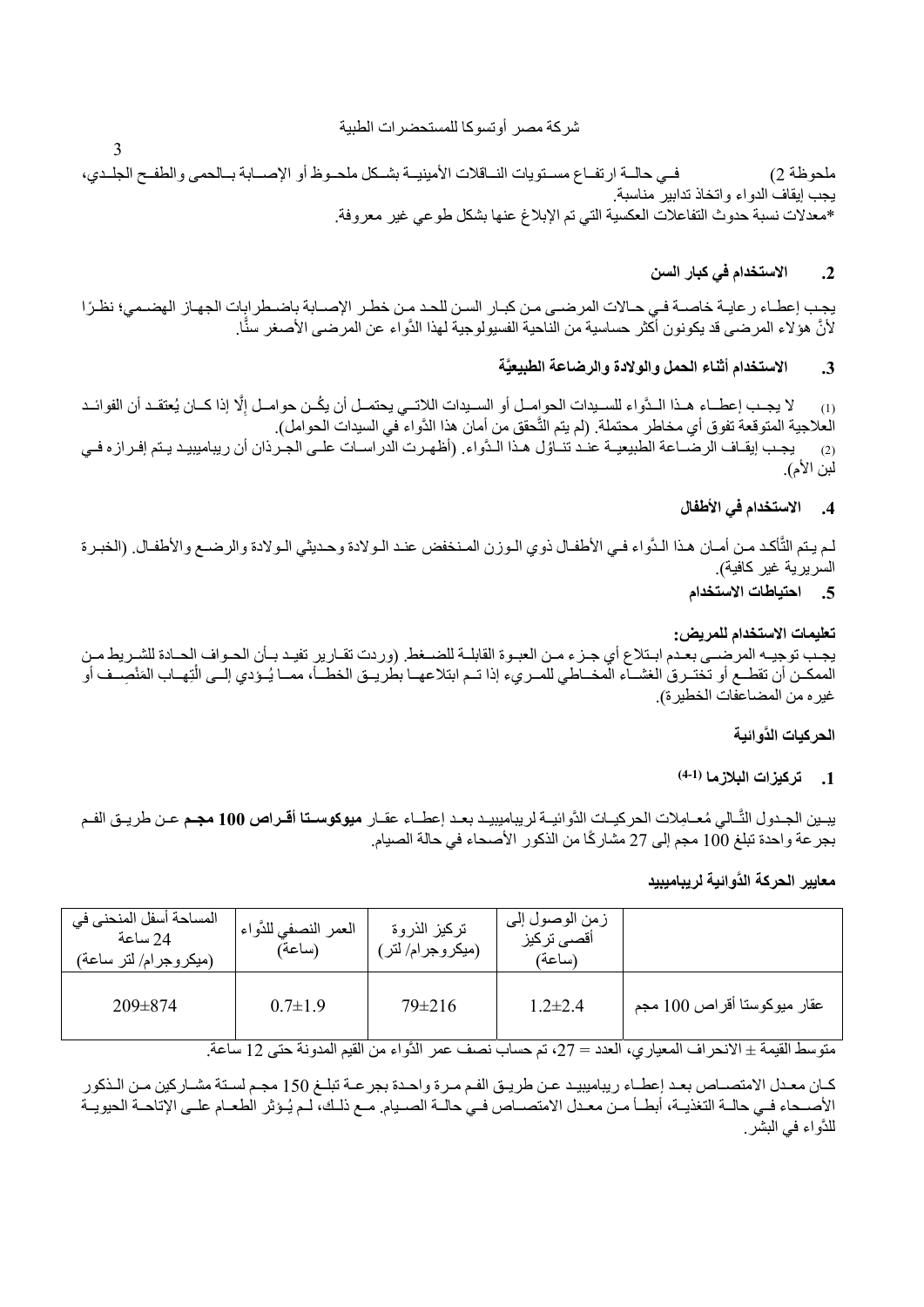شركة مصر أوتسوكا للمستحضرات الطبية

3

ملحوظة 2) فسي حالمة ارتفاع مستويات النماقلات الأمينيـة بشكل ملحـوظ أو الإصـابة بـالحمى والطفح الجلـدي، يجب إيقاف الدواء واتخاذ تدابير مناسبة. \*معدلات نسبة حدوث التفاعلات العكسية التي تم الإبلاغ عنها بشكل طوعي غير معروفة.

# **.2 الاستخدام في كبار السن**

يجب إعطاء رعايـة خاصـة فـي حـالات المرضـي مـن كبـار السن للحد مـن خطـر الإصـابة باضـطرابات الجهـاز الهضـمي؛ نظرًا لأنَّ هؤلاء المرضى قد يكونون أكثر حساسية من الناحية الفسيولوجية لهذا الدَّواء عن المرضى الأصغر سنَّا.

# **َّة .3 الاستخدام أثناء الحمل والولادة والرضاعة الطبيعي**

(1) لا يجب إعطـاء هـذا الـدَّواء للسـيدات الحوامـل أو السـيدات اللاتــي يحتمـل أن يكُـن حوامـل إلَّا إذا كـان يُعتقـد أن الفوائـد ِ العلاجية المتوقعة تفوق أي مخاطر محتملة. (لم يتم التَّحقق من أمان هذا الدَّواء في السيدات الحوامل). (2) بجب إيقـاف الرضــاعة الطبيعيـة عنـد تنــاؤل هـذا الـدُّواء. (أظهـرت الدراسـات علـى الجـرذان أن ريباميبيـد يـتم إفـرازه فـي لبن الأم).

## **.4 الاستخدام في الأطفال**

لم يـتم التَّأكـد مـن أمـان هـذا الـدَّواء فـي الأطفـال ذوي الـوزن المـنخفض عنـد الـولادة وحـديثي الـولادة والرضـع والأطفـال. (الخبـرة السريرية غير كافية).

## **.5 احتياطات الاستخدام**

## **تعليمات الاستخدام للمريض:**

يجب توجيـه المرضـي بعـدم ابـتلاع أي جـزء مـن العبـوة القابلـة للضـغط. (وردت تقـارير تفيـد بـأن الحـواف الحـادة للشـريط مـن الممكـن أن تقطـع أو تختـرق الغشــاء المخــاطي للمـريء إذا تـم ابتلاعهـا بطُريـق الخطــأ، ممــا يُـؤدي إلــي الْتِهــاب المَنْصِــف أو غيره من المضاعفات الخطيرة).

## **َّ الحركيات الدوائية**

## **(4-1) .1 تركيزات البلازما**

يبـين الجـدول التَّـالي مُعــامِلات الحركيـاتِ الدَّوائيـة لريباميبيـد بعـد إعطـاء عقـار **ميوكوسـتا أقـراص 100 مجـم** عـن طريـق الفـم بجر عة واحدة تبلغ 100 مجم إلى 27 مشاركًا من الذكور الأصحاء في حالة الصيام.

**معايير الحركة َّ الدوائية لريباميبيد**

| المساحة أسفل المنحنى في<br>24 ساعة<br>(ميكروجرام/لتر ساعة) | العمر النصفي للدَّواء <sub>ا</sub><br>(ساعة) | تركيز الذروة<br>(میکروجرام/ لتر ٖ | زمن الوصول إلى<br>أقصى تركيز<br>(ساعة) |                             |
|------------------------------------------------------------|----------------------------------------------|-----------------------------------|----------------------------------------|-----------------------------|
| $209 \pm 874$                                              | $0.7 \pm 1.9$                                | $79 \pm 216$                      | $1.2 \pm 2.4$                          | عقار ميوكوستا أقراص 100 مجم |

متوسط القيمة ± الانحر اف المعيار ي، العدد = 27، تم حساب نصف عمر الدَّو اء من القيم المدونة حتى 12 ساعة.

كـان معـدل الامتصـاص بعـد إعطـاء ريباميبيـد عـن طريـق الفـم مـرة واحـدة بجر عـة تبلـغ 150 مجـم لسـتة مشـاركين مـن الـذكور الأصـحاء فـي حالـة التغذيـة، أبطـأ مـن معـدل الامتصـاص فـي حالـة الصـيام. مـع ذلـك، لـم يُـوَثر الطعـام علـى الإتاحـة الحيويـة َّواء في البشر. للد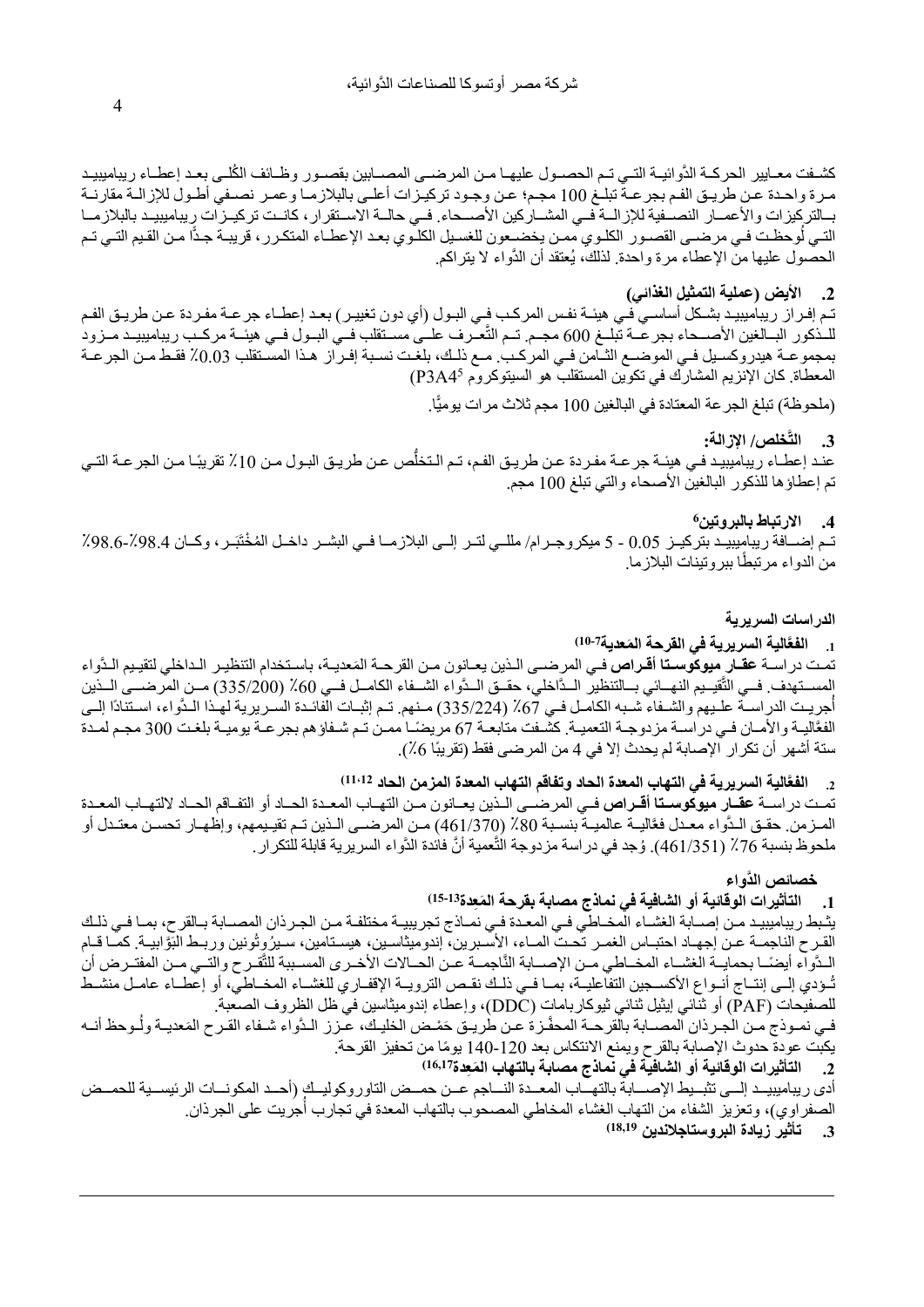كشفت معـايير الحركــة الدَّوائيــة التــي تـم الحصــول عليهــا مـن المرضــي المصـــابين بقصــور وظــائف الكُلــي بعـد إعطــاء ريباميبيـد مرة واحدة عن طريـق الفم بجرعـة تبلـغ 100 مجم؛ عن وجـود تركيـزات أعلـي بالبلازمـا وعمـر نصـفي أطـول للإزالـة مقارنـة بـالتركيزات والأعمــار النصــفية للإزالــة فــي المشــاركين الأصــحاء. فــي حالــة الاسـتقرار ، كانـت تركيــزات ريباميبيـد بالبلازمــا التـي لُوحظـت فـي مرضــي القصــور الكلـوي ممـن يخضــعون للغسـيل الكلـوي بعـد الإعطـاء المتكـرر ، قريبــة جـدًّا مـن القـيم التـي تـم الحصول عليها من الإعطاء مرة واحدة. لذلك، يُعتقد أن الدُّواء لا يتراكم.

# **.2 الأيض (عملية التمثيل الغذائي)**

تم إفـراز ريباميبيد بشكل أساسـي فـي هيئـة نفس المركب فـي البـول (أي دون تغييـر) بعـد إعطـاء جرعـة مفـردة عـن طريـق الفـم للـذكور البـالغين الأصـحاء بجر عــة تبلــغ 600 مجـم. تــم النَّعــرف علــي مسـتقلب فــي البــول فــي هيئــة مركـب ريباميبيـد مــزود بمجموعـة هيدروكسـيل فـي الموضـع الثــامن فـي المركـب. مـع ذلـك، بلغـت نسـبة إفـراز هـذا المسـتقلب 0.03٪ فقـط مـن الجرعـة المعطاة. كان الإنزيم المشارك في تكوين المستقلب هو السيتوكروم P3A4<sup>5</sup>)

(ملحوظة) تبلغ الجر عة المعتادة في البالغين 100 مجم ثلاث مرات يوميًّا.

#### **َّخلص/ الإزالة: .3 الت**

عنـد إعطـاء ريباميبيـد فـي هيئـة جر عـة مفـردة عـن طريـق الفـم، تـم الـتخلُّص عـن طريـق البـول مـن 10٪ تقريبًـا مـن الجر عـة التـي تم إعطاؤها للذكور البالغين الأصحاء والتي تبلغ 100 مجم.

# **6 .4 الارتباط بالبروتين**

تـم إضــافة ريباميبيـد بتركيــز 0.05 - 5 ميكروجــرام/ مللــي لتــر إلــي البلازمــا فــي البشــر داخــل المُخْتَبَــر، وكــان 98.4٪-98.6٪ من الدواء مرتبطًا ببروتينات البلازما.

**الدراسات السريرية**

# **َّ َ الية السريرية في القرحة المعدية 10-7) .1 الفع**

تمت در اســة **عقــار ميوكوسـتا أقـراص** فــى المرضـــى الـذين يعــانون مـن القرحــة المَعديــة، باسـتخدام التنظيـر الـداخلي لتقيـيم الـدَّواء تمت در اســة **عقــار ميوكوسـتـا أقــراص** فــي المرـضـــى الــذين يعــانون مــن القرـحــة المَعديــة، باسـتخدام التنظيـر الــداخلي لتقيـيم الـدّواء<br>المســتهدف. فــي التَّقيــيم النهــائي بـــالتنظير الــدَّاخلي، حقــق الــ أجريت الدراسـة علـيهم والشـفاء شـبه الكامـل فـي 67٪ (335/224) مـنهم. تـم إثبـات الفائـدة السـريرية لهـذا الـدَّواء، اسـتنادًا إلــي الفعَّاليـة والأمـان فـي دراسـة مزدوجـة التعميـة. كشـفت متابعـة 67 مريضـًـا ممـن تـم شـفاؤهم بجرعـة بوميـة بلغـت 300 مجـم لمـدة ستة أشهر أن تكرار الإصابة لم يحدث إلا في 4 من المرضى فقط (تقريبًا 6٪).

**َّالية السريرية في التهاب المعدة الحاد وتفاقم التهاب المعدة المزمن الحاد 11،12) .2 الفع**

تمـت دراسـة **عقـار ميوكوسـتا أقـراص** فـي المرضــي الـذين يعـانون مـن التهـاب المعـدة الحـاد أو التفـاقم الحـاد لالتهـاب المعـدة المرزمن. حقـق الـدُّواء معـدل فعَّاليـة عالميـة بنسـبة 80٪ (461/370) مـن المرضــي الـذين تـم تقيـيمهم، وإظهـار تحسـن معتـدل أو ملحوظ بنسبة 76٪ (461/351). وُجد في دراسة مزدوجة التَّعمية أنَّ فائدة الدَّواء السريرية قابلة للتكرار .

 **َّ خصائص الدواء**

# **15-13) .1 ال َ تأثيرات الوقائية أو الشافية في نماذج مصابة بقرحة الم ِعدة**

يثـبط ريباميبيـد مـن إصــابة الغشـاء المخـاطي فـي المعـدة فـي نمـاذج تجريبيـة مختلفـة مـن الجـرذان المصــابة بـالقرح، بمـا فـي ذلـك القـرح الناجمـة عـن إجهـاد احتبـاس الغمـر تحـت المـاء، الأسـبرين، إندوميثاسـين، هيسـتامين، سـيرُوِتُونين وربـط البَوَّابيـة. كمـا قـام المدَّواء أيضَـا بحمايــة الغشــاء المخــاطي مــن الإصــابة النَّاجمــة عـن الحــالات الأخــري المسـببة للثَّقـرح والتــي مــن المفتــرض أن تُـؤدي إلـي إنتـاج أنـواع الأكسـجين التفاعليـة، بمـا فـي ذلـك نقـص الترويـة الإقفـاري للغشـاء المخـاطي، أو إعطـاء عامـل منشـط للصفيحات (PAF (أو ثنائي إيثيل ثنائي ثيوكاربامات (DDC(، وإعطاء إندوميثاسين في ظل الظروف الصعبة.

في نمـوذج مـن الْجـرذان المصــابة بالْقرحـة المحفَّـزة عـن طُريـق حَمْـض الخليـك، عـزز الـدَّواء شـفاء القـرح المَعديـة ولُـوحظ أنــه ֺَّ֖֦֪֦֖֧֚֚֝֝֝֟֟֟֟֟֝֝֬֝<u>֚</u> يكبت عودة حدوث الإصابة بالقرح ويمنع الانتكاس بعد 120-140 يومًا من تحفيز القرحة.

**16,17) .2 َ التأثيرات الوقائية أو الشافية في نماذج مصابة بالتهاب الم ِعدة**

أدى ريباميبيـد إلــي تثبـيط الإصــابة بالتهــاب المعــدة النــاجم عــن حمــض التاوروكوليــك (أحــد المكونــات الرئيســية للحمــض الصفراوي)، وتعزيز الشفاء من التهاب الغشاء المخاطي المصحوب بالتهاب المعدة في تجارب أجريت على الجرذان.

**18,19) .3 تأثير زيادة البروستاجلاندين** 

4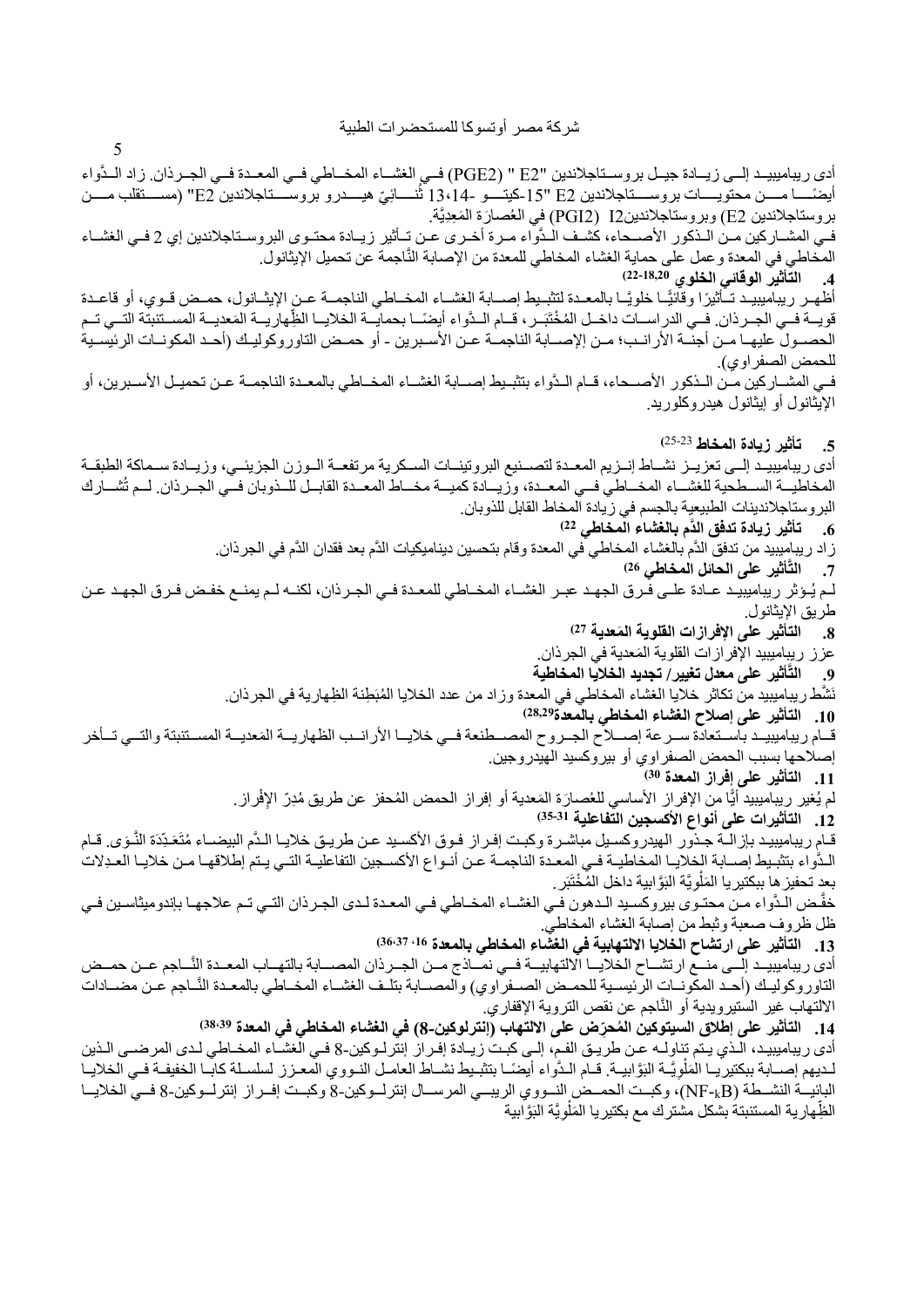5

ادي ريباميبيـد إلــي زيــادة جيـل بروســتاجلاندين "E2 " (PGE2) فــي الغشــاء المخــاطي فــي المعـدة فــي الجــرذان. زاد الــدَّواء ايضمَــــا مـــــن محتويــــات بروســــناجلاندين 2E "13 -2 كيتــَــو -14 ،14 تُنــــائيّ هيـــدرو بروســـناجلاندين 2E" (مســــنقلب مــــن بروستاجلاندين E2) وبروستاجلاندينI2 (PGI2) في العُصـارَة المَعِدِيَّة. فـي المشــاركين مـن الـذكور الأصــحاء، كشـف الـدُّواء مـرة أخـرى عـن تــأثير زيــادة محتـوى البروسـتاجلاندين إي 2 فـي الغشــاء المخاطي في المعدة و عمل على حماية الغشاء المخاطي للمعدة من الإصابة النَّاجمة عن تحميل الإيثانول. **-18,20 22) .4 التأثير الوقائي الخلوي**  اظهـر ريباميبيـد تـأثيرًا وقائيًـا خلويًـا بالمعـدة لتثبـيط إصــابة الغشــاء المخــاطي الناجمــة عـن الإيثــانول، حمـض قـوي، أو قاعـدة قويــة فــي الجــرذان. فــي الدراســات داخــل المُخْتَبَــر ، قــام الــدَّواء أيضـًــا بحمايِّــة الخلايــا الظِّهاريــة المَعدِيــة المســتنبتة التــي تــم الحصـول عليهـا مـن أجنــة الأرانــب؛ مـن إلإصــابة الناجمــة عـن الأسـبرين - أو حمـض التاوروكوليـك (أحـد المكونــات الرئيسـية للحمض الصفراوي). فـي المشــاركين مـن الـذكور الأصــحاء، قــام الـدُّواء بتثبـيط إصــابة الغشــاء المخــاطي بالمعـدة الناجمــة عـن تحميـل الأسـبرين، أو الإيثانول أو إيثانول هيدروكلوريد. 25-23**) .5 تأثير زيادة المخاط**  أدى ريباميبيـد إلـي تعزيـز نشـاط إنـزيم المعـدة لتصـنيع البروتينـات السـكرية مرتفعـة الـوزن الجزيئـي، وزيـادة سـماكة الطبقـة المخاطيــة الســطحية للغشــاء المخــاطي فــي المعــدة، وزيــادة كميــة مخــاط المعــدة القابــل للــذوبان فــي الجــرذان. لــم تُشــارك البروستاجلاندينات الطبيعية بالجسم في زيادة المخاط القابل للذوبان. **22) .6 َّ تأثير زيادة تدفق الدم بالغشاء المخاطي**  ز اد ريباميبيد من تدفق الدَّم بالغشاء المخاطي في المعدة وقام بتحسين ديناميكيات الدَّم بعد فقدان الدَّم في الجرذان. **َّأثير على الحائل المخاطي 26) .7 الت** لـم يُـوثر ريباميبيـد عـادة علـي فـرق الجهـد عبـر الغشـاء المخـاطي للمعـدة فـي الجـرذان، لكنــه لـم يمنـع خفـض فـرق الجهـد عـن طريق الإيثانول. **27) .8 َ التأثير على الإفرازات القلوية المعدية**  عزز ريبِاميبيد الإفرازات القلوية المَعدية في الجرذان.<br>. **َّأثير على معدل تغيير/ تجديد الخلايا المخاطية .9 الت** نَشَّط ريباميبيد من تكاثر خلايا الغشاء المخاطي في المعدة وزاد من عدد الخلايا المُبَطِنة الظِهارية في الجرذان. **28,29) .10 التأثير على إصلاح الغشاء المخاطي بالمعدة** قـام ريباميبيـد باسـتعادة سـرعة إصــلاح الجـروح المصــطنعة فـي خلايــا الأرانــب الظهاريــة المَعديــة المسـتنبتة والتــي تــأخر إصلاحها بسبب الحمض الصفراوي أو بيروكسيد الهيدروجين. **30) .11 التأثير على إفراز المعدة**  لم يُغير رِيباميبيد أيًّا من الإفراز الأساسي للعُصبارَة المَعدية أو إفراز الحمض المُحفز عن طريق مُدِرّ الإفْراز **35-31) .12 التأثيرات على أنواع الأكسجين التفاعلية**  قـام ريباميبيد بإزالـة جـذور الهيدروكسـيل مباشـرة وكبـت إفـراز فـوق الأكسِـيد عـن طريـق خلايـا الـدَّم البيضــاء مُتَعَـدِّدَة النَّـوَي قـام َّ َ الْدَّواء بتثبيط إصـابة الخلايـا المخاطيـة فـي المعـدة الناجمـة عـن أنـواع الأكسـجين التفاعليـة التـي يـتم إطلاقهـا مـن خلايـا العـدِلات بعدٍ تحفيز هِا ببكتير يا المَلْوِيَّة البَوَّابية داخل المُخْتَبَر . ؚ<br>ا خفَّض الدَّواء مـن محتـوى بيروكسـيد الـدهون فـي الغشـاء المخـاطي فـي المعـدة لـدى الجـرذان التـي تـم علاجهـا بإندوميثاسـين فـي ظل ظروف صعبة وثبط من إصابة الغشاء المخاطي. **،16 36،37) .13 التأثير على ارتشاح الخلايا الالتهابية في الغشاء المخاطي بالمعدة**  أدى ريباميبيـد إلــي منــع ارتشــاح الخلايــا الالتهابيــة فــي نمــاذج مــن الجــرذان المصــابة بالتهــاب المعـدة النَّــاجم عــن حمــض التاوروكوليـك (أحـد المكونــات الرئيسـية للحمـض الصــفراوي) والمصــابة بتلـف الغشـاء المخــاطي بالمعـدة النَّــاجم عـن مضــادات الالتهاب غير الستيرويدية أو النَّاجم عن نقص التروية الإقفاري. 14. التأثير على إطلاق السيتوكين المُحرِّض على الالتهاب (إنترلوكين-8) في الغشاء المخاطي في المعدة <sup>38،39</sup>) أدى ريباميبيد، الـذي يـتم تناولـه عـن طريـق الفـم، إلـي كبـت زيـادة إفـراز إنترلـوكين-8 فـي الغشـاء المخـاطي لـدى المرضــي الـذين لـديهم إصــابة ببكتيريـا المَلْويَّـة البَوَّابيـة. قـام الـدُّواء أيضـًـا بتثبـيط نشــاط العامـل النـووي المعـزز لسلسـلة كابـا الخفيفـة فـي الخلايـا ؚ<br>ا البائيــة النشــطة (NF-<sub>k</sub>B)، وكبــت الحمــض النــووي الريبــي المرســال إنترلــوكين-8 وكبــت إفــراز إنترلــوكين-8 فــي الخلايــا الظِّهارية المستنبتةُ بشكل مشترك مع بكتيريا المَلْوِيَّة البَوَّابية ا<br>ا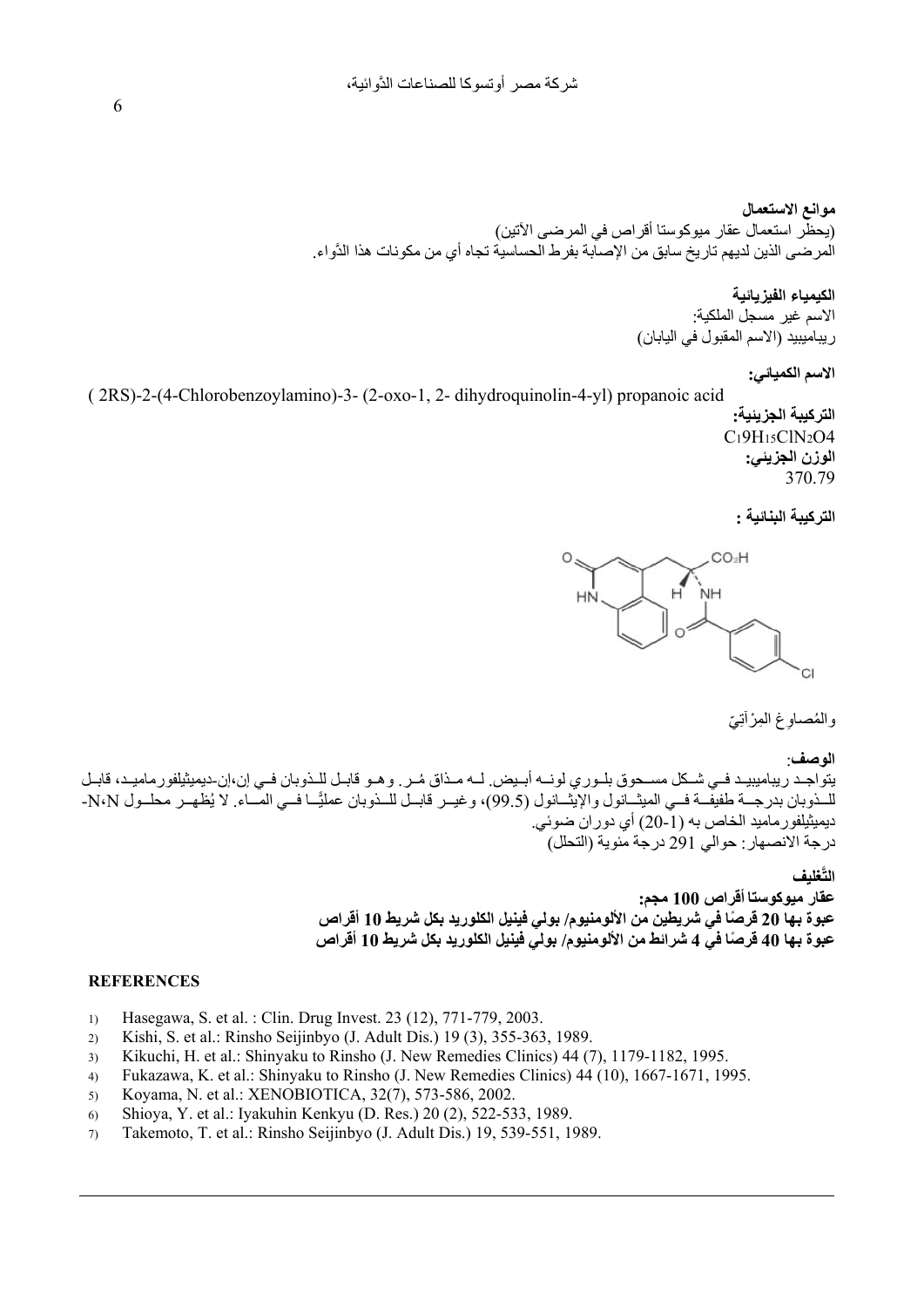**موانع الاستعمال** (يحظر استعمال عقار ميوكوستا أقراص في المرضى الآتين) المرضى الذين لديهم تاريخ سابق من الإصابة بفرط الحساسية تجاه أي من مكونات هذا الدَّواء.

## **الكيمياء الفيزيائية**

الاسم غير مسجل الملكية: ريباميبيد (الاسم المقبول في اليابان)

# **الاسم الكميائي:**

( 2 RS)-2-(4-Chlorobenzoylamino)-3- (2-oxo-1, 2- dihydroquinolin-4-yl) propanoic acid **التركيبة الجزيئية:** C<sub>1</sub>9H<sub>15</sub>ClN<sub>2</sub>O4 **الوزن الجزيئي:** 370.79

## **التركيبة البنائية :**



والمُصـاوغ المِرْآتِيّ

## **الوصف**:

يتواجد ريباميبيـد فمي شـكل مسـحوق بلـوري لونــه أبـيض. لــه مـذاق مُـر. وهـو قابـل للـذوبان فـي إن،إن-ديميثيلفورماميـد، قابـل للــذوبان بدرجــة طفيفــة فــي الميثــانول والإيثــانول (99.5)، وغيــر قابــل للــذوبان عمليًــا فــي المــاء. لا يُظهــر محلــول N،N-ديميثيلفورماميد الخاص به (-1 20) أي دوران ضوئي. درجة الانصهار: حوالي 291 درجة مئوية (التحلل)

## **َّغليف الت**

**عقار ميوكوستا أقراص 100 مجم: عبوة بها 20 ً قرصا في شريطين من الألومنيوم/ بولي فينيل الكلوريد بكل شريط 10 أقراص عبوة بها 40 ً قرصا في 4 شرائط من الألومنيوم/ بولي فينيل الكلوريد بكل شريط 10 أقراص**

## **REFERENCES**

- 1) Hasegawa, S. et al. : Clin. Drug Invest. 23 (12), 771-779, 2003.
- 2) Kishi, S. et al.: Rinsho Seijinbyo (J. Adult Dis.) 19 (3), 355-363, 1989.
- 3) Kikuchi, H. et al.: Shinyaku to Rinsho (J. New Remedies Clinics) 44 (7), 1179-1182, 1995.
- 4) Fukazawa, K. et al.: Shinyaku to Rinsho (J. New Remedies Clinics) 44 (10), 1667-1671, 1995.
- 5) Koyama, N. et al.: XENOBIOTICA, 32(7), 573-586, 2002.
- 6) Shioya, Y. et al.: Iyakuhin Kenkyu (D. Res.) 20 (2), 522-533, 1989.
- 7) Takemoto, T. et al.: Rinsho Seijinbyo (J. Adult Dis.) 19, 539-551, 1989.